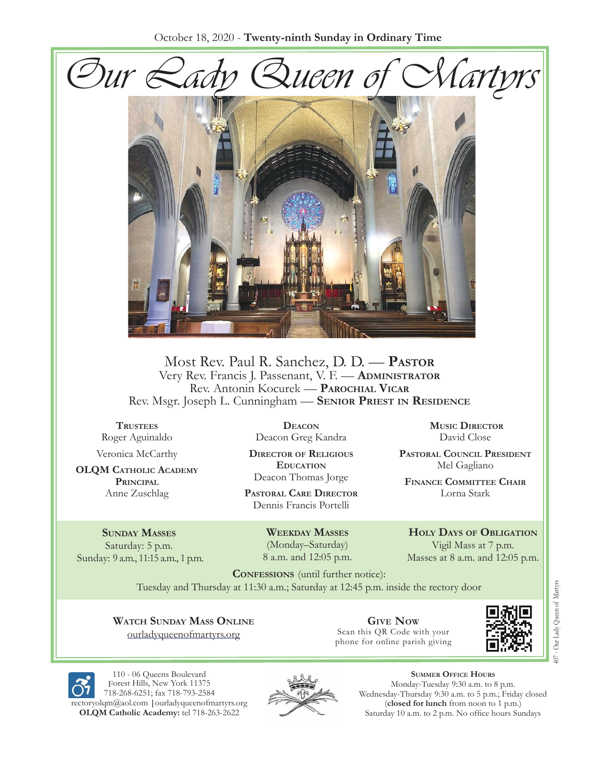



Most Rev. Paul R. Sanchez, D. D. — **Pastor** Very Rev. Francis J. Passenant, V. F. — **Administrator** Rev. Antonin Kocurek — **Parochial Vicar** Rev. Msgr. Joseph L. Cunningham — **Senior Priest in Residence**

**Trustees** Roger Aguinaldo

Veronica McCarthy

**OLQM Catholic Academy Principal** Anne Zuschlag

**Sunday Masses** Saturday: 5 p.m. Sunday: 9 a.m., 11:15 a.m., 1 p.m.

**Deacon** Deacon Greg Kandra

**Director of Religious Education** Deacon Thomas Jorge

**Pastoral Care Director** Dennis Francis Portelli

> **Weekday Masses** (Monday–Saturday) 8 a.m. and 12:05 p.m.

**Music Director** David Close

**Pastoral Council President** Mel Gagliano

**Finance Committee Chair** Lorna Stark

**Holy Days of Obligation** Vigil Mass at 7 p.m. Masses at 8 a.m. and 12:05 p.m.

**CONFESSIONS** (until further notice): Tuesday and Thursday at 11:30 a.m.; Saturday at 12:45 p.m. inside the rectory door

**Watch Sunday Mass Online** [ourladyqueenofmartyrs.org](https://ourladyqueenofmartyrs.org/)

**Give Now** Scan this QR Code with your phone for online parish giving



110 - 06 Queens Boulevard Forest Hills, New York 11375 [718-268-6251](mailto:rectoryolqm@aol.com); [fax 718-793-2584](www.ourladyqueenofmartyrs.org) rectoryolqm@aol.com **|**ourladyqueenofmartyrs.org **OLQM Catholic Academy:** tel 718-263-2622



**Summer Office Hours** Monday-Tuesday 9:30 a.m. to 8 p.m. Wednesday-Thursday 9:30 a.m. to 5 p.m.; Friday closed (**closed for lunch** from noon to 1 p.m.) Saturday 10 a.m. to 2 p.m. No office hours Sundays

07 - Our Lady Queen of Martyrs 407 - Our Lady Queen of Martyrs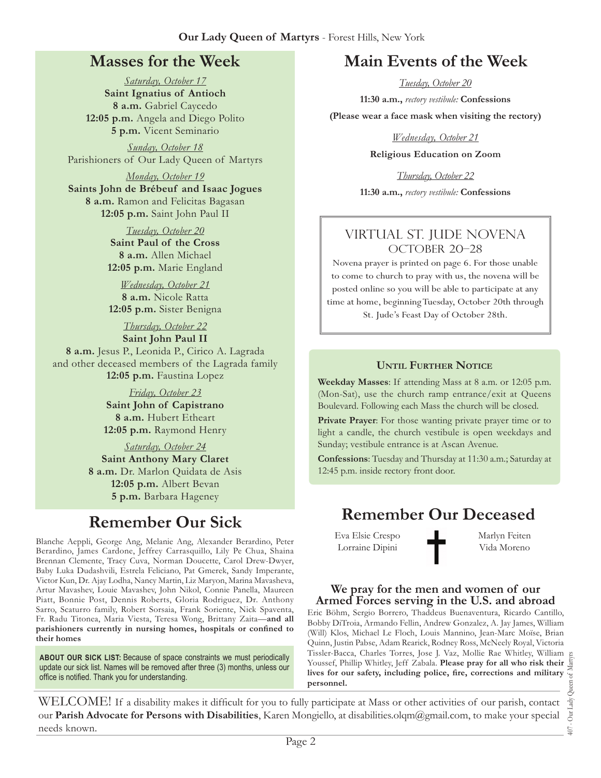# **Masses for the Week**

*Saturday, October 17* **Saint Ignatius of Antioch 8 a.m.** Gabriel Caycedo **12:05 p.m.** Angela and Diego Polito **5 p.m.** Vicent Seminario

*Sunday, October 18* Parishioners of Our Lady Queen of Martyrs

*Monday, October 19* **Saints John de Brébeuf and Isaac Jogues 8 a.m.** Ramon and Felicitas Bagasan **12:05 p.m.** Saint John Paul II

> *Tuesday, October 20* **Saint Paul of the Cross 8 a.m.** Allen Michael **12:05 p.m.** Marie England

*Wednesday, October 21* **8 a.m.** Nicole Ratta **12:05 p.m.** Sister Benigna

# *Thursday, October 22* **Saint John Paul II**

**8 a.m.** Jesus P., Leonida P., Cirico A. Lagrada and other deceased members of the Lagrada family **12:05 p.m.** Faustina Lopez

> *Friday, October 23* **Saint John of Capistrano 8 a.m.** Hubert Etheart **12:05 p.m.** Raymond Henry

*Saturday, October 24* **Saint Anthony Mary Claret 8 a.m.** Dr. Marlon Quidata de Asis **12:05 p.m.** Albert Bevan **5 p.m.** Barbara Hageney

# **Remember Our Sick**

Blanche Aeppli, George Ang, Melanie Ang, Alexander Berardino, Peter Berardino, James Cardone, Jeffrey Carrasquillo, Lily Pe Chua, Shaina Brennan Clemente, Tracy Cuva, Norman Doucette, Carol Drew-Dwyer, Baby Luka Dudashvili, Estrela Feliciano, Pat Gmerek, Sandy Imperante, Victor Kun, Dr. Ajay Lodha, Nancy Martin, Liz Maryon, Marina Mavasheva, Artur Mavashev, Louie Mavashev, John Nikol, Connie Panella, Maureen Piatt, Bonnie Post, Dennis Roberts, Gloria Rodriguez, Dr. Anthony Sarro, Scaturro family, Robert Sorsaia, Frank Soriente, Nick Spaventa, Fr. Radu Titonea, Maria Viesta, Teresa Wong, Brittany Zaita—**and all parishioners currently in nursing homes, hospitals or confined to their homes**

**ABOUT OUR SICK LIST:** Because of space constraints we must periodically update our sick list. Names will be removed after three (3) months, unless our office is notified. Thank you for understanding.

# **Main Events of the Week**

*Tuesday, October 20*

**11:30 a.m.,** *rectory vestibule:* **Confessions** 

**(Please wear a face mask when visiting the rectory)**

*Wednesday, October 21*

**Religious Education on Zoom**

*Thursday, October 22* **11:30 a.m.,** *rectory vestibule:* **Confessions**

### Virtual St. Jude Novena OCTOBER 20-28

Novena prayer is printed on page 6. For those unable to come to church to pray with us, the novena will be posted online so you will be able to participate at any time at home, beginning Tuesday, October 20th through St. Jude's Feast Day of October 28th.

#### **Until Further Notice**

**Weekday Masses**: If attending Mass at 8 a.m. or 12:05 p.m. (Mon-Sat), use the church ramp entrance/exit at Queens Boulevard. Following each Mass the church will be closed.

Private Prayer: For those wanting private prayer time or to light a candle, the church vestibule is open weekdays and Sunday; vestibule entrance is at Ascan Avenue.

**Confessions**: Tuesday and Thursday at 11:30 a.m.; Saturday at 12:45 p.m. inside rectory front door.

# **Remember Our Deceased**

Eva Elsie Crespo Lorraine Dipini

Marlyn Feiten Vida Moreno

#### **We pray for the men and women of our Armed Forces serving in the U.S. and abroad**

Eric Böhm, Sergio Borrero, Thaddeus Buenaventura, Ricardo Cantillo, Bobby DiTroia, Armando Fellin, Andrew Gonzalez, A. Jay James, William (Will) Klos, Michael Le Floch, Louis Mannino, Jean-Marc Moïse, Brian Quinn, Justin Pabse, Adam Rearick, Rodney Ross, McNeely Royal, Victoria Tissler-Bacca, Charles Torres, Jose J. Vaz, Mollie Rae Whitley, William Youssef, Phillip Whitley, Jeff Zabala. **Please pray for all who risk their lives for our safety, including police, fire, corrections and military personnel.**

407 - Our Lady Queen of Martyrs Our Lady  $\overline{407}$ .

WELCOME! If a disability makes it difficult for you to fully participate at Mass or other activities of our parish, contact our **Parish Advocate for Persons with Disabilities**, Karen Mongiello, at [disabilities.olqm@gmail.com](mailto:disabilities.olqm@gmail.com), to make your special needs known.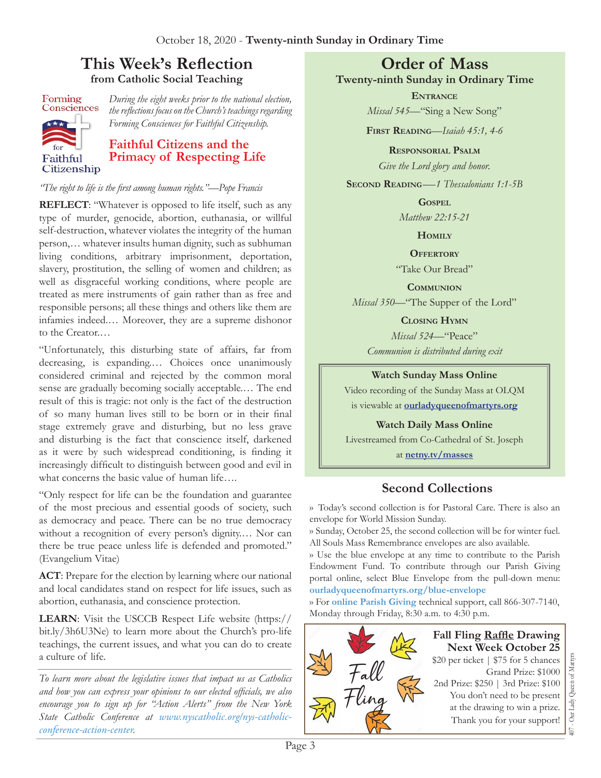# **This Week's Reflection from Catholic Social Teaching**

Forming Consciences Faithful Citizenship *During the eight weeks prior to the national election, the reflections focus on the Church's teachings regarding Forming Consciences for Faithful Citizenship.*

# **Faithful Citizens and the Primacy of Respecting Life**

#### *"The right to life is the first among human rights."—Pope Francis*

**REFLECT**: "Whatever is opposed to life itself, such as any type of murder, genocide, abortion, euthanasia, or willful self-destruction, whatever violates the integrity of the human person,… whatever insults human dignity, such as subhuman living conditions, arbitrary imprisonment, deportation, slavery, prostitution, the selling of women and children; as well as disgraceful working conditions, where people are treated as mere instruments of gain rather than as free and responsible persons; all these things and others like them are infamies indeed.… Moreover, they are a supreme dishonor to the Creator.…

"Unfortunately, this disturbing state of affairs, far from decreasing, is expanding.… Choices once unanimously considered criminal and rejected by the common moral sense are gradually becoming socially acceptable.… The end result of this is tragic: not only is the fact of the destruction of so many human lives still to be born or in their final stage extremely grave and disturbing, but no less grave and disturbing is the fact that conscience itself, darkened as it were by such widespread conditioning, is finding it increasingly difficult to distinguish between good and evil in what concerns the basic value of human life….

"Only respect for life can be the foundation and guarantee of the most precious and essential goods of society, such as democracy and peace. There can be no true democracy without a recognition of every person's dignity.… Nor can there be true peace unless life is defended and promoted." (Evangelium Vitae)

**ACT**: Prepare for the election by learning where our national and local candidates stand on respect for life issues, such as abortion, euthanasia, and conscience protection.

**LEARN**: Visit the USCCB Respect Life website [\(https://](https://bit.ly/3h6U3Ne) [bit.ly/3h6U3Ne](https://bit.ly/3h6U3Ne)) to learn more about the Church's pro-life teachings, the current issues, and what you can do to create a culture of life.

*To learn more about the legislative issues that impact us as Catholics and how you can express your opinions to our elected officials, we also encourage you to sign up for "Action Alerts" from the New York State Catholic Conference at [www.nyscatholic.org/nys-catholic](https://www.nyscatholic.org/nys-catholic-conference-action-center)[conference-action-center](https://www.nyscatholic.org/nys-catholic-conference-action-center).* 

### **Order of Mass Twenty-ninth Sunday in Ordinary Time**

**Entrance** *Missal 545—*"Sing a New Song"

**First Reading***—Isaiah 45:1, 4-6*

**Responsorial Psalm**

*Give the Lord glory and honor.*

SECOND **READING**—1 Thessalonians 1:1-5B

#### **Gospel**

*Matthew 22:15-21*

**Homily**

**Offertory**

"Take Our Bread"

**Communion**

*Missal 350—*"The Supper of the Lord"

**Closing Hymn**

*Missal 524—*"Peace" *Communion is distributed during exit* 

**Watch Sunday Mass Online** 

Video recording of the Sunday Mass at OLQM is viewable at **[ourladyqueenofmartyrs.org](https://ourladyqueenofmartyrs.org)**

**Watch Daily Mass Online** 

Livestreamed from Co-Cathedral of St. Joseph

at **[netny.tv/masses](https://netny.tv/masses/)**

## **Second Collections**

›› Today's second collection is for Pastoral Care. There is also an envelope for World Mission Sunday.

›› Sunday, October 25, the second collection will be for winter fuel. All Souls Mass Remembrance envelopes are also available.

›› Use the blue envelope at any time to contribute to the Parish Endowment Fund. To contribute through our Parish Giving portal online, select Blue Envelope from the pull-down menu: **[ourladyqueenofmartyrs.org/blue-envelope](https://ourladyqueenofmartyrs.org/blue-envelope/)**

›› For **[online Parish Giving](https://ourladyqueenofmartyrs.org/parish-giving/)** technical support, call 866-307-7140, Monday through Friday, 8:30 a.m. to 4:30 p.m.

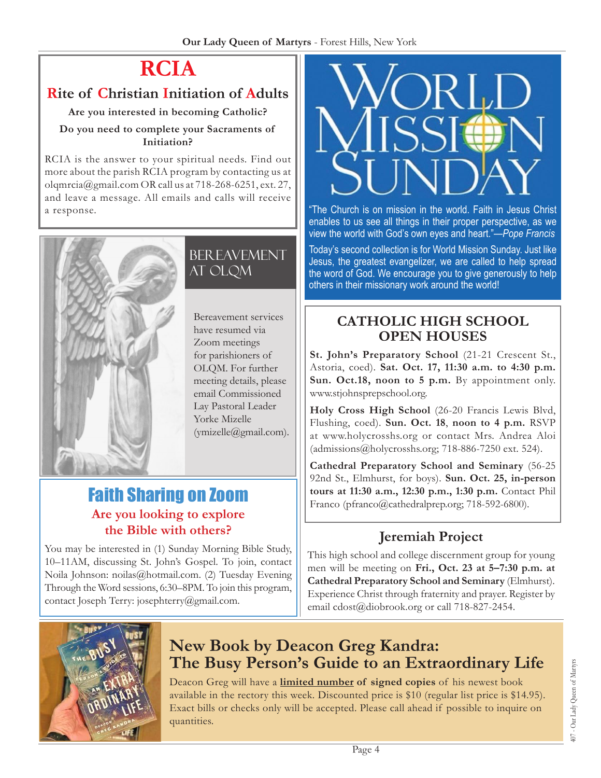# **RCIA**

# **Rite of Christian Initiation of Adults**

#### **Are you interested in becoming Catholic?**

#### **Do you need to complete your Sacraments of Initiation?**

RCIA is the answer to your spiritual needs. Find out more about the parish RCIA program by contacting us at [olqmrcia@gmail.com](mailto:olqmrcia@gmail.com) OR call us at 718-268-6251, ext. 27, and leave a message. All emails and calls will receive a response.



**BEREAVEMENT** at OLQM

Bereavement services have resumed via Zoom meetings for parishioners of OLQM. For further meeting details, please email Commissioned Lay Pastoral Leader Yorke Mizelle ([ymizelle@gmail.com](mailto:ymizelle@gmail.com)).

# Faith Sharing on Zoom **Are you looking to explore the Bible with others?**

You may be interested in (1) Sunday Morning Bible Study, 10–11AM, discussing St. John's Gospel. To join, contact Noila Johnson: [noilas@hotmail.com](mailto:noilas@hotmail.com). (2) Tuesday Evening Through the Word sessions, 6:30–8PM. To join this program, contact Joseph Terry: [josephterry@gmail.com](mailto:josephterry@gmail.com).



"The Church is on mission in the world. Faith in Jesus Christ enables to us see all things in their proper perspective, as we view the world with God's own eyes and heart."—*Pope Francis* 

Today's second collection is for World Mission Sunday. Just like Jesus, the greatest evangelizer, we are called to help spread the word of God. We encourage you to give generously to help others in their missionary work around the world!

# **CATHOLIC HIGH SCHOOL OPEN HOUSES**

**St. John's Preparatory School** (21-21 Crescent St., Astoria, coed). **Sat. Oct. 17, 11:30 a.m. to 4:30 p.m. Sun. Oct.18, noon to 5 p.m.** By appointment only. <www.stjohnsprepschool.org>.

**Holy Cross High School** (26-20 Francis Lewis Blvd, Flushing, coed). **Sun. Oct. 18**, **noon to 4 p.m.** RSVP at <www.holycrosshs.org>or contact Mrs. Andrea Aloi [\(admissions@holycrosshs.org;](mailto:admissions@holycrosshs.org) 718-886-7250 ext. 524).

**Cathedral Preparatory School and Seminary** (56-25 92nd St., Elmhurst, for boys). **Sun. Oct. 25, in-person tours at 11:30 a.m., 12:30 p.m., 1:30 p.m.** Contact Phil Franco ([pfranco@cathedralprep.org](mailto:pfranco@cathedralprep.org); 718-592-6800).

# **Jeremiah Project**

This high school and college discernment group for young men will be meeting on **Fri., Oct. 23 at 5–7:30 p.m. at Cathedral Preparatory School and Seminary** (Elmhurst). Experience Christ through fraternity and prayer. Register by email [cdost@diobrook.org](mailto:cdost@diobrook.org) or call 718-827-2454.



# **New Book by Deacon Greg Kandra: The Busy Person's Guide to an Extraordinary Life**

Deacon Greg will have a **limited number of signed copies** of his newest book available in the rectory this week. Discounted price is \$10 (regular list price is \$14.95). Exact bills or checks only will be accepted. Please call ahead if possible to inquire on quantities.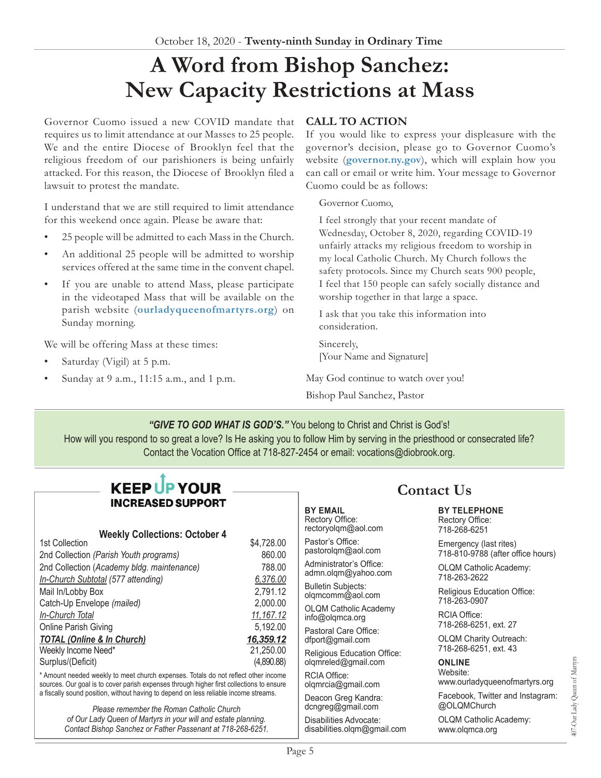# **A Word from Bishop Sanchez: New Capacity Restrictions at Mass**

Governor Cuomo issued a new COVID mandate that requires us to limit attendance at our Masses to 25 people. We and the entire Diocese of Brooklyn feel that the religious freedom of our parishioners is being unfairly attacked. For this reason, the Diocese of Brooklyn filed a lawsuit to protest the mandate.

I understand that we are still required to limit attendance for this weekend once again. Please be aware that:

- 25 people will be admitted to each Mass in the Church.
- An additional 25 people will be admitted to worship services offered at the same time in the convent chapel.
- If you are unable to attend Mass, please participate in the videotaped Mass that will be available on the parish website (**[ourladyqueenofmartyrs.org](https://ourladyqueenofmartyrs.org)**) on Sunday morning.

We will be offering Mass at these times:

- Saturday (Vigil) at 5 p.m.
- Sunday at 9 a.m., 11:15 a.m., and 1 p.m.

#### **CALL TO ACTION**

If you would like to express your displeasure with the governor's decision, please go to Governor Cuomo's website (**[governor.ny.gov](https://www.governor.ny.gov/)**), which will explain how you can call or email or write him. Your message to Governor Cuomo could be as follows:

Governor Cuomo,

I feel strongly that your recent mandate of Wednesday, October 8, 2020, regarding COVID-19 unfairly attacks my religious freedom to worship in my local Catholic Church. My Church follows the safety protocols. Since my Church seats 900 people, I feel that 150 people can safely socially distance and worship together in that large a space.

I ask that you take this information into consideration.

Sincerely, [Your Name and Signature]

May God continue to watch over you! Bishop Paul Sanchez, Pastor

*"GIVE TO GOD WHAT IS GOD'S."* You belong to Christ and Christ is God's!

How will you respond to so great a love? Is He asking you to follow Him by serving in the priesthood or consecrated life? Contact the Vocation Office at 718-827-2454 or email: [vocations@diobrook.org](mailto:vocations@diobrook.org).

> **BY EMAIL** Rectory Office: rectoryolqm@aol.com Pastor's Office: pastorolqm@aol.com Administrator's Office: admn.olqm@yahoo.com Bulletin Subjects: olqmcomm@aol.com OLQM Catholic Academy info@olqmca.org Pastoral Care Office: dfport@gmail.com

Religious Education Office: olqmreled@gmail.com

RCIA Office: olqmrcia@gmail.com Deacon Greg Kandra: dcngreg@gmail.com Disabilities Advocate: disabilities.olqm@gmail.com

## **KEEP UP YOUR INCREASED SUPPORT**

# **Weekly Collections: October 4**

| 1st Collection                             | \$4,728.00  |
|--------------------------------------------|-------------|
| 2nd Collection (Parish Youth programs)     | 860.00      |
| 2nd Collection (Academy bldg. maintenance) | 788.00      |
| In-Church Subtotal (577 attending)         | 6,376.00    |
| Mail In/Lobby Box                          | 2,791.12    |
| Catch-Up Envelope (mailed)                 | 2,000.00    |
| In-Church Total                            | 11, 167. 12 |
| Online Parish Giving                       | 5,192.00    |
| <b>TOTAL (Online &amp; In Church)</b>      | 16,359.12   |
| Weekly Income Need*                        | 21,250.00   |
| Surplus/(Deficit)                          | (4,890.88)  |

\* Amount needed weekly to meet church expenses. Totals do not reflect other income sources. Our goal is to cover parish expenses through higher first collections to ensure a fiscally sound position, without having to depend on less reliable income streams.

> *Please remember the Roman Catholic Church of Our Lady Queen of Martyrs in your will and estate planning. Contact Bishop Sanchez or Father Passenant at 718-268-6251.*

# **Contact Us**

#### **BY TELEPHONE** Rectory Office: 718-268-6251

Emergency (last rites) 718-810-9788 (after office hours)

OLQM Catholic Academy: 718-263-2622

Religious Education Office: 718-263-0907

RCIA Office: 718-268-6251, ext. 27

OLQM Charity Outreach: 718-268-6251, ext. 43

#### **ONLINE** Website:

www.ourladyqueenofmartyrs.org

Facebook, Twitter and Instagram: @OLQMChurch

OLQM Catholic Academy: www.olqmca.org